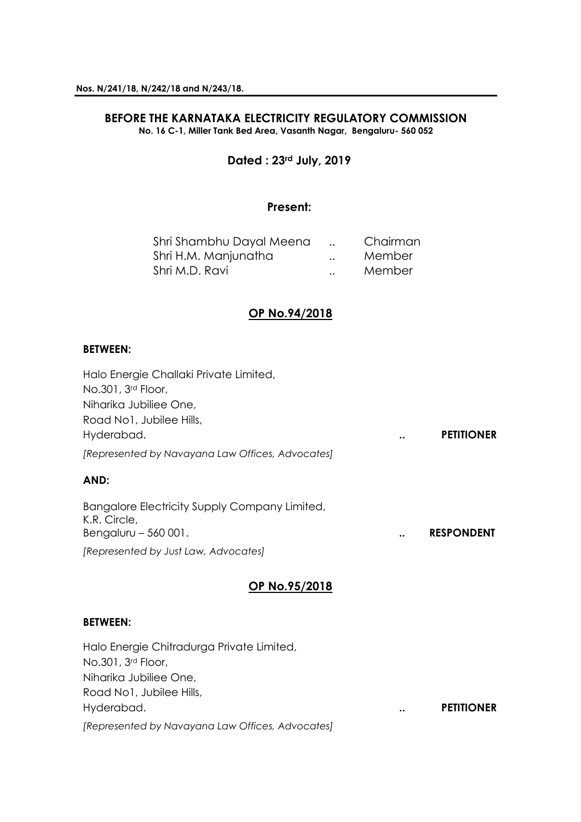### **BEFORE THE KARNATAKA ELECTRICITY REGULATORY COMMISSION No. 16 C-1, Miller Tank Bed Area, Vasanth Nagar, Bengaluru- 560 052**

## **Dated : 23rd July, 2019**

## **Present:**

| Shri Shambhu Dayal Meena |                      | Chairman |
|--------------------------|----------------------|----------|
| Shri H.M. Manjunatha     | $\ddot{\phantom{a}}$ | Member   |
| Shri M.D. Ravi           | $\ddot{\phantom{a}}$ | Member   |

## **OP No.94/2018**

### **BETWEEN:**

Halo Energie Challaki Private Limited, No.301, 3rd Floor, Niharika Jubiliee One, Road No1, Jubilee Hills, Hyderabad. **.. PETITIONER** *[Represented by Navayana Law Offices, Advocates]*

## **AND:**

Bangalore Electricity Supply Company Limited, K.R. Circle, Bengaluru – 560 001. **.. RESPONDENT** *[Represented by Just Law, Advocates]*

## **OP No.95/2018**

### **BETWEEN:**

Halo Energie Chitradurga Private Limited, No.301, 3rd Floor, Niharika Jubiliee One, Road No1, Jubilee Hills, Hyderabad. **.. PETITIONER** *[Represented by Navayana Law Offices, Advocates]*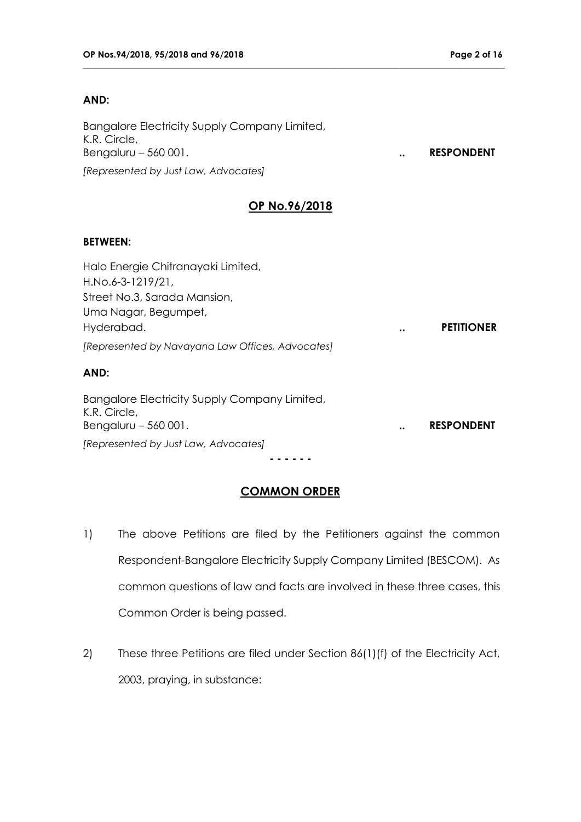## **AND:**

Bangalore Electricity Supply Company Limited, K.R. Circle, Bengaluru – 560 001. **a. 2010. ... RESPONDENT** *[Represented by Just Law, Advocates]*

## **OP No.96/2018**

**\_\_\_\_\_\_\_\_\_\_\_\_\_\_\_\_\_\_\_\_\_\_\_\_\_\_\_\_\_\_\_\_\_\_\_\_\_\_\_\_\_\_\_\_\_\_\_\_\_\_\_\_\_\_\_\_\_\_\_\_\_\_\_\_\_\_\_\_\_\_\_\_\_\_\_\_\_\_\_\_\_\_\_\_\_\_\_\_\_\_\_\_\_\_\_\_**

## **BETWEEN:**

| Halo Energie Chitranayaki Limited,               |           |                   |
|--------------------------------------------------|-----------|-------------------|
| H.No.6-3-1219/21,                                |           |                   |
| Street No.3, Sarada Mansion,                     |           |                   |
| Uma Nagar, Begumpet,                             |           |                   |
| Hyderabad.                                       | $\bullet$ | <b>PETITIONER</b> |
| [Represented by Navayana Law Offices, Advocates] |           |                   |
|                                                  |           |                   |

## **AND:**

| Bangalore Electricity Supply Company Limited, |                      |                   |
|-----------------------------------------------|----------------------|-------------------|
| K.R. Circle,                                  |                      |                   |
| Bengaluru $-560001$ .                         | $\ddot{\phantom{a}}$ | <b>RESPONDENT</b> |
| [Represented by Just Law, Advocates]          |                      |                   |

**- - - - - -**

# **COMMON ORDER**

- 1) The above Petitions are filed by the Petitioners against the common Respondent-Bangalore Electricity Supply Company Limited (BESCOM). As common questions of law and facts are involved in these three cases, this Common Order is being passed.
- 2) These three Petitions are filed under Section 86(1)(f) of the Electricity Act, 2003, praying, in substance: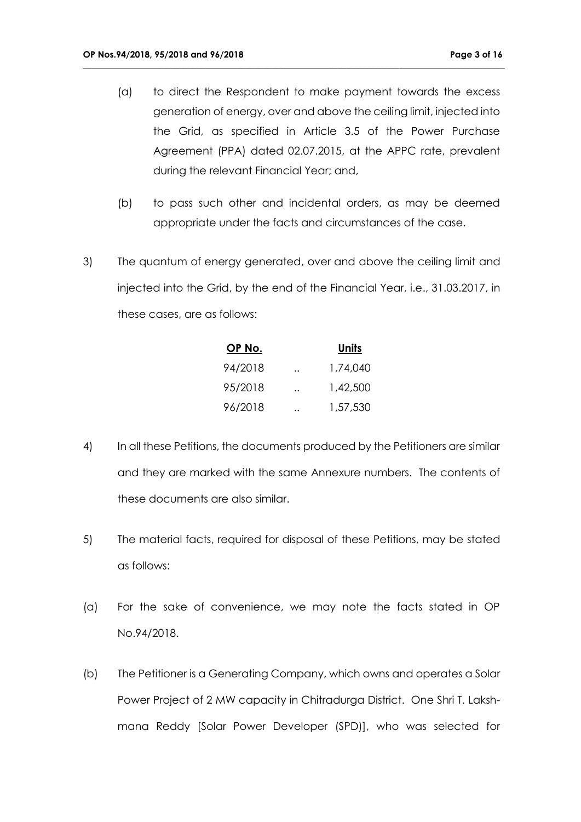(a) to direct the Respondent to make payment towards the excess generation of energy, over and above the ceiling limit, injected into the Grid, as specified in Article 3.5 of the Power Purchase Agreement (PPA) dated 02.07.2015, at the APPC rate, prevalent during the relevant Financial Year; and,

- (b) to pass such other and incidental orders, as may be deemed appropriate under the facts and circumstances of the case.
- 3) The quantum of energy generated, over and above the ceiling limit and injected into the Grid, by the end of the Financial Year, i.e., 31.03.2017, in these cases, are as follows:

| OP No.  | Units    |
|---------|----------|
| 94/2018 | 1,74,040 |
| 95/2018 | 1,42,500 |
| 96/2018 | 1,57,530 |

- 4) In all these Petitions, the documents produced by the Petitioners are similar and they are marked with the same Annexure numbers. The contents of these documents are also similar.
- 5) The material facts, required for disposal of these Petitions, may be stated as follows:
- (a) For the sake of convenience, we may note the facts stated in OP No.94/2018.
- (b) The Petitioner is a Generating Company, which owns and operates a Solar Power Project of 2 MW capacity in Chitradurga District. One Shri T. Lakshmana Reddy [Solar Power Developer (SPD)], who was selected for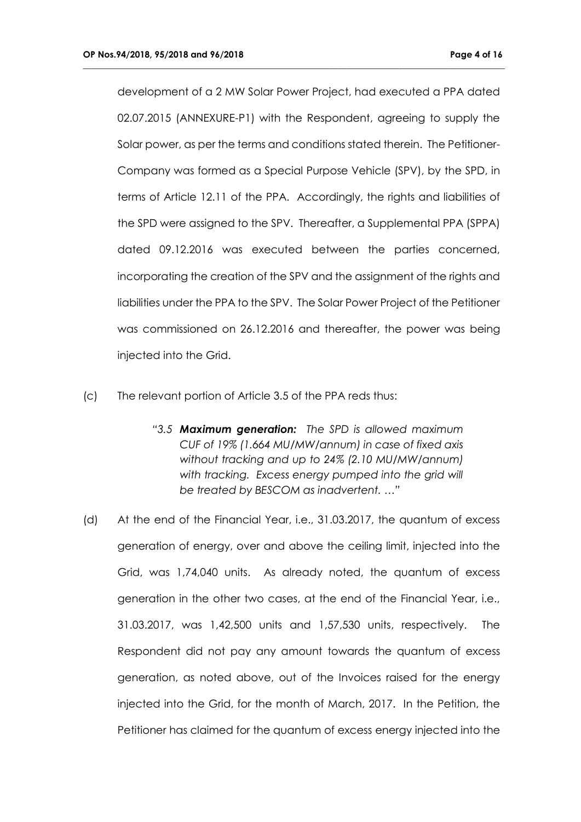development of a 2 MW Solar Power Project, had executed a PPA dated 02.07.2015 (ANNEXURE-P1) with the Respondent, agreeing to supply the Solar power, as per the terms and conditions stated therein. The Petitioner-Company was formed as a Special Purpose Vehicle (SPV), by the SPD, in terms of Article 12.11 of the PPA. Accordingly, the rights and liabilities of the SPD were assigned to the SPV. Thereafter, a Supplemental PPA (SPPA) dated 09.12.2016 was executed between the parties concerned, incorporating the creation of the SPV and the assignment of the rights and liabilities under the PPA to the SPV. The Solar Power Project of the Petitioner was commissioned on 26.12.2016 and thereafter, the power was being injected into the Grid.

- (c) The relevant portion of Article 3.5 of the PPA reds thus:
	- *"3.5 Maximum generation: The SPD is allowed maximum CUF of 19% (1.664 MU/MW/annum) in case of fixed axis without tracking and up to 24% (2.10 MU/MW/annum) with tracking. Excess energy pumped into the grid will be treated by BESCOM as inadvertent. …"*
- (d) At the end of the Financial Year, i.e., 31.03.2017, the quantum of excess generation of energy, over and above the ceiling limit, injected into the Grid, was 1,74,040 units. As already noted, the quantum of excess generation in the other two cases, at the end of the Financial Year, i.e., 31.03.2017, was 1,42,500 units and 1,57,530 units, respectively. The Respondent did not pay any amount towards the quantum of excess generation, as noted above, out of the Invoices raised for the energy injected into the Grid, for the month of March, 2017. In the Petition, the Petitioner has claimed for the quantum of excess energy injected into the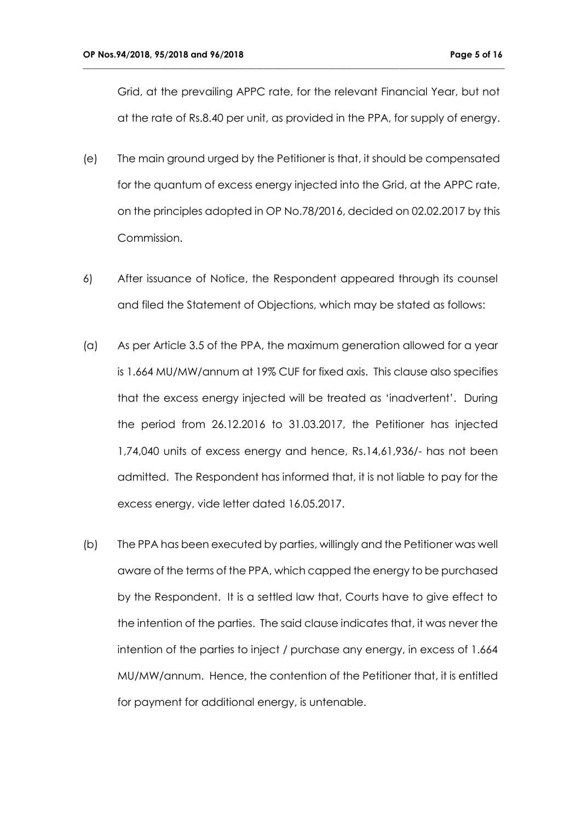Grid, at the prevailing APPC rate, for the relevant Financial Year, but not at the rate of Rs.8.40 per unit, as provided in the PPA, for supply of energy.

- (e) The main ground urged by the Petitioner is that, it should be compensated for the quantum of excess energy injected into the Grid, at the APPC rate, on the principles adopted in OP No.78/2016, decided on 02.02.2017 by this Commission.
- 6) After issuance of Notice, the Respondent appeared through its counsel and filed the Statement of Objections, which may be stated as follows:
- (a) As per Article 3.5 of the PPA, the maximum generation allowed for a year is 1.664 MU/MW/annum at 19% CUF for fixed axis. This clause also specifies that the excess energy injected will be treated as 'inadvertent'. During the period from 26.12.2016 to 31.03.2017, the Petitioner has injected 1,74,040 units of excess energy and hence, Rs.14,61,936/- has not been admitted. The Respondent has informed that, it is not liable to pay for the excess energy, vide letter dated 16.05.2017.
- (b) The PPA has been executed by parties, willingly and the Petitioner was well aware of the terms of the PPA, which capped the energy to be purchased by the Respondent. It is a settled law that, Courts have to give effect to the intention of the parties. The said clause indicates that, it was never the intention of the parties to inject / purchase any energy, in excess of 1.664 MU/MW/annum. Hence, the contention of the Petitioner that, it is entitled for payment for additional energy, is untenable.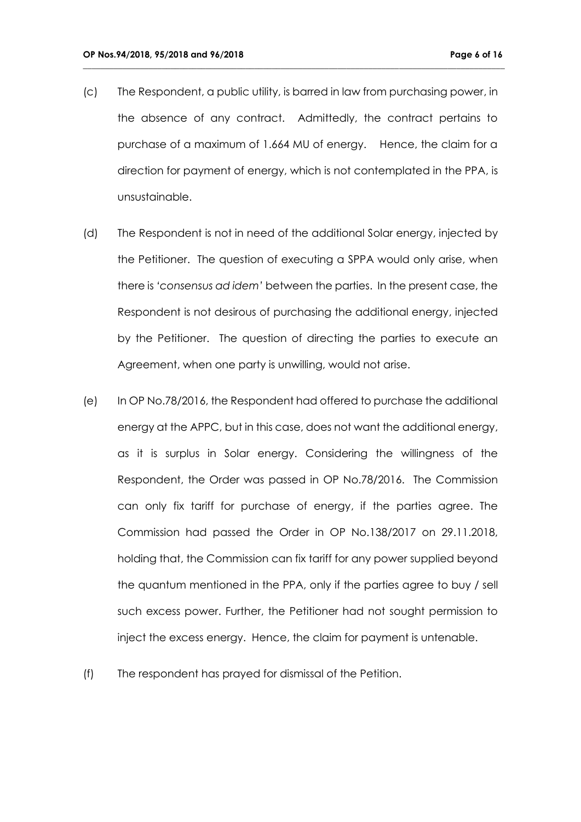(c) The Respondent, a public utility, is barred in law from purchasing power, in the absence of any contract. Admittedly, the contract pertains to purchase of a maximum of 1.664 MU of energy. Hence, the claim for a direction for payment of energy, which is not contemplated in the PPA, is unsustainable.

- (d) The Respondent is not in need of the additional Solar energy, injected by the Petitioner. The question of executing a SPPA would only arise, when there is *'consensus ad idem'* between the parties. In the present case, the Respondent is not desirous of purchasing the additional energy, injected by the Petitioner. The question of directing the parties to execute an Agreement, when one party is unwilling, would not arise.
- (e) In OP No.78/2016, the Respondent had offered to purchase the additional energy at the APPC, but in this case, does not want the additional energy, as it is surplus in Solar energy. Considering the willingness of the Respondent, the Order was passed in OP No.78/2016. The Commission can only fix tariff for purchase of energy, if the parties agree. The Commission had passed the Order in OP No.138/2017 on 29.11.2018, holding that, the Commission can fix tariff for any power supplied beyond the quantum mentioned in the PPA, only if the parties agree to buy / sell such excess power. Further, the Petitioner had not sought permission to inject the excess energy. Hence, the claim for payment is untenable.
- (f) The respondent has prayed for dismissal of the Petition.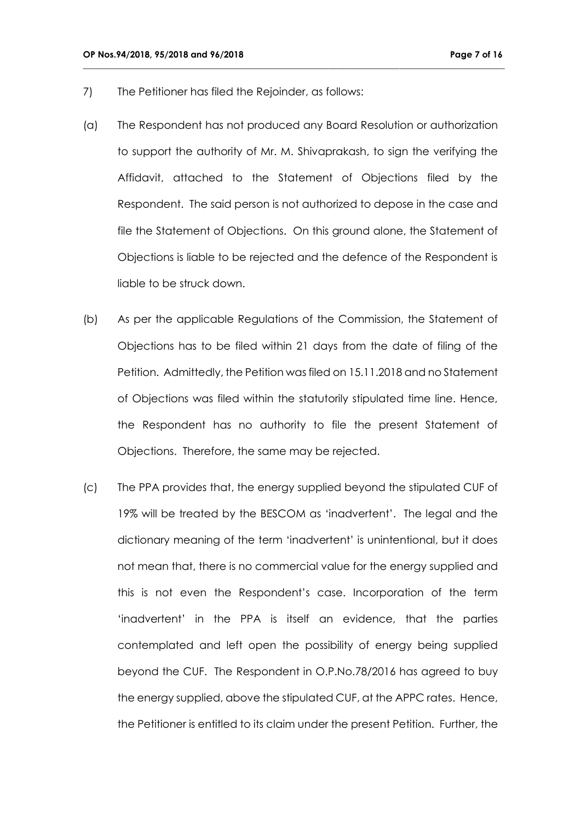- 7) The Petitioner has filed the Rejoinder, as follows:
- (a) The Respondent has not produced any Board Resolution or authorization to support the authority of Mr. M. Shivaprakash, to sign the verifying the Affidavit, attached to the Statement of Objections filed by the Respondent. The said person is not authorized to depose in the case and file the Statement of Objections. On this ground alone, the Statement of Objections is liable to be rejected and the defence of the Respondent is liable to be struck down.

- (b) As per the applicable Regulations of the Commission, the Statement of Objections has to be filed within 21 days from the date of filing of the Petition. Admittedly, the Petition was filed on 15.11.2018 and no Statement of Objections was filed within the statutorily stipulated time line. Hence, the Respondent has no authority to file the present Statement of Objections. Therefore, the same may be rejected.
- (c) The PPA provides that, the energy supplied beyond the stipulated CUF of 19% will be treated by the BESCOM as 'inadvertent'. The legal and the dictionary meaning of the term 'inadvertent' is unintentional, but it does not mean that, there is no commercial value for the energy supplied and this is not even the Respondent's case. Incorporation of the term 'inadvertent' in the PPA is itself an evidence, that the parties contemplated and left open the possibility of energy being supplied beyond the CUF. The Respondent in O.P.No.78/2016 has agreed to buy the energy supplied, above the stipulated CUF, at the APPC rates. Hence, the Petitioner is entitled to its claim under the present Petition. Further, the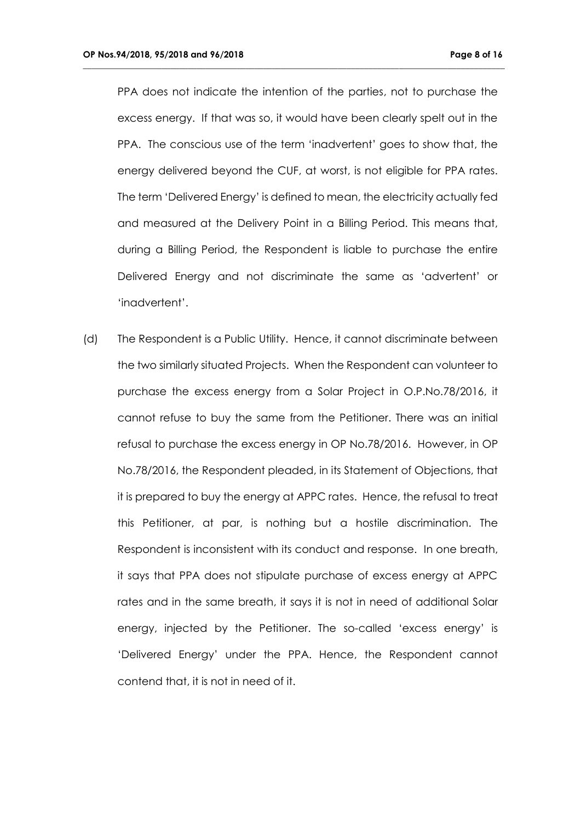PPA does not indicate the intention of the parties, not to purchase the excess energy. If that was so, it would have been clearly spelt out in the PPA. The conscious use of the term 'inadvertent' goes to show that, the energy delivered beyond the CUF, at worst, is not eligible for PPA rates. The term 'Delivered Energy' is defined to mean, the electricity actually fed and measured at the Delivery Point in a Billing Period. This means that, during a Billing Period, the Respondent is liable to purchase the entire Delivered Energy and not discriminate the same as 'advertent' or 'inadvertent'.

**\_\_\_\_\_\_\_\_\_\_\_\_\_\_\_\_\_\_\_\_\_\_\_\_\_\_\_\_\_\_\_\_\_\_\_\_\_\_\_\_\_\_\_\_\_\_\_\_\_\_\_\_\_\_\_\_\_\_\_\_\_\_\_\_\_\_\_\_\_\_\_\_\_\_\_\_\_\_\_\_\_\_\_\_\_\_\_\_\_\_\_\_\_\_\_\_**

(d) The Respondent is a Public Utility. Hence, it cannot discriminate between the two similarly situated Projects. When the Respondent can volunteer to purchase the excess energy from a Solar Project in O.P.No.78/2016, it cannot refuse to buy the same from the Petitioner. There was an initial refusal to purchase the excess energy in OP No.78/2016. However, in OP No.78/2016, the Respondent pleaded, in its Statement of Objections, that it is prepared to buy the energy at APPC rates. Hence, the refusal to treat this Petitioner, at par, is nothing but a hostile discrimination. The Respondent is inconsistent with its conduct and response. In one breath, it says that PPA does not stipulate purchase of excess energy at APPC rates and in the same breath, it says it is not in need of additional Solar energy, injected by the Petitioner. The so-called 'excess energy' is 'Delivered Energy' under the PPA. Hence, the Respondent cannot contend that, it is not in need of it.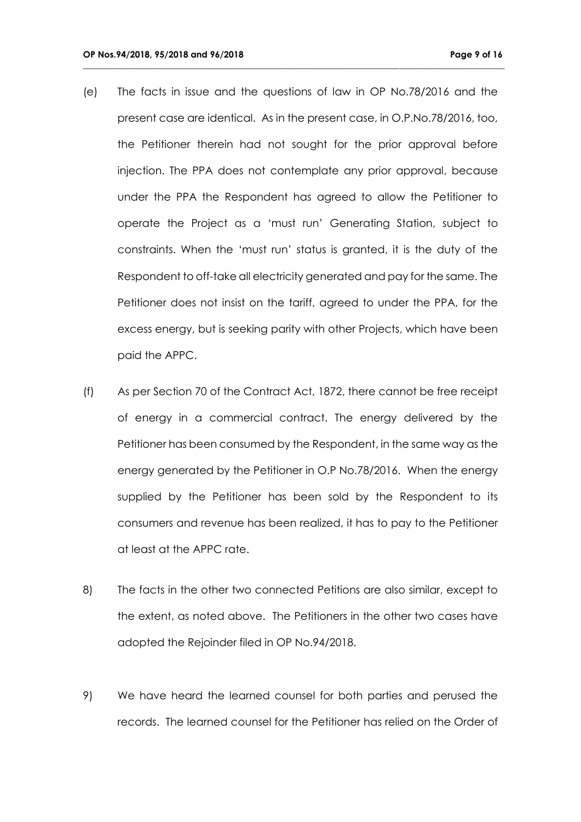(e) The facts in issue and the questions of law in OP No.78/2016 and the present case are identical. As in the present case, in O.P.No.78/2016, too, the Petitioner therein had not sought for the prior approval before injection. The PPA does not contemplate any prior approval, because under the PPA the Respondent has agreed to allow the Petitioner to operate the Project as a 'must run' Generating Station, subject to constraints. When the 'must run' status is granted, it is the duty of the Respondent to off-take all electricity generated and pay for the same. The Petitioner does not insist on the tariff, agreed to under the PPA, for the excess energy, but is seeking parity with other Projects, which have been paid the APPC.

- (f) As per Section 70 of the Contract Act, 1872, there cannot be free receipt of energy in a commercial contract. The energy delivered by the Petitioner has been consumed by the Respondent, in the same way as the energy generated by the Petitioner in O.P No.78/2016. When the energy supplied by the Petitioner has been sold by the Respondent to its consumers and revenue has been realized, it has to pay to the Petitioner at least at the APPC rate.
- 8) The facts in the other two connected Petitions are also similar, except to the extent, as noted above. The Petitioners in the other two cases have adopted the Rejoinder filed in OP No.94/2018.
- 9) We have heard the learned counsel for both parties and perused the records. The learned counsel for the Petitioner has relied on the Order of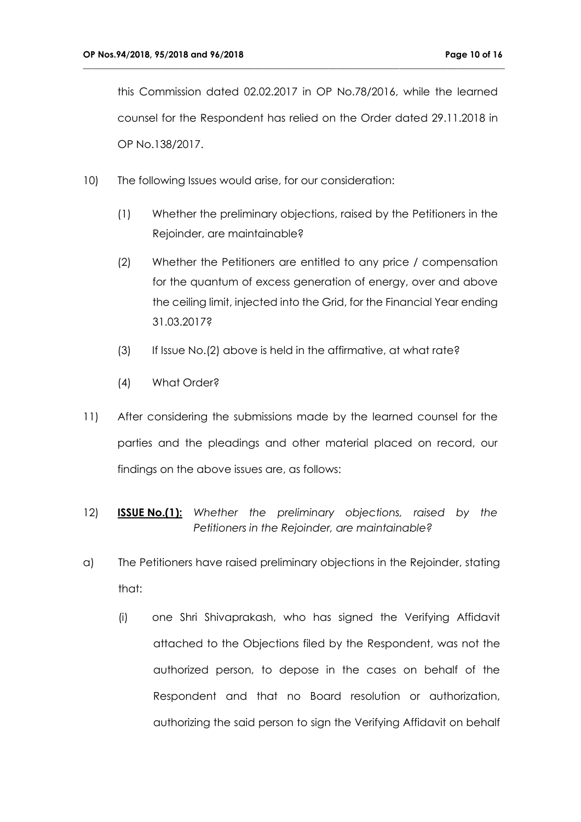this Commission dated 02.02.2017 in OP No.78/2016, while the learned counsel for the Respondent has relied on the Order dated 29.11.2018 in OP No.138/2017.

- 10) The following Issues would arise, for our consideration:
	- (1) Whether the preliminary objections, raised by the Petitioners in the Rejoinder, are maintainable?
	- (2) Whether the Petitioners are entitled to any price / compensation for the quantum of excess generation of energy, over and above the ceiling limit, injected into the Grid, for the Financial Year ending 31.03.2017?
	- (3) If Issue No.(2) above is held in the affirmative, at what rate?
	- (4) What Order?
- 11) After considering the submissions made by the learned counsel for the parties and the pleadings and other material placed on record, our findings on the above issues are, as follows:
- 12) **ISSUE No.(1):** *Whether the preliminary objections, raised by the Petitioners in the Rejoinder, are maintainable?*
- a) The Petitioners have raised preliminary objections in the Rejoinder, stating that:
	- (i) one Shri Shivaprakash, who has signed the Verifying Affidavit attached to the Objections filed by the Respondent, was not the authorized person, to depose in the cases on behalf of the Respondent and that no Board resolution or authorization, authorizing the said person to sign the Verifying Affidavit on behalf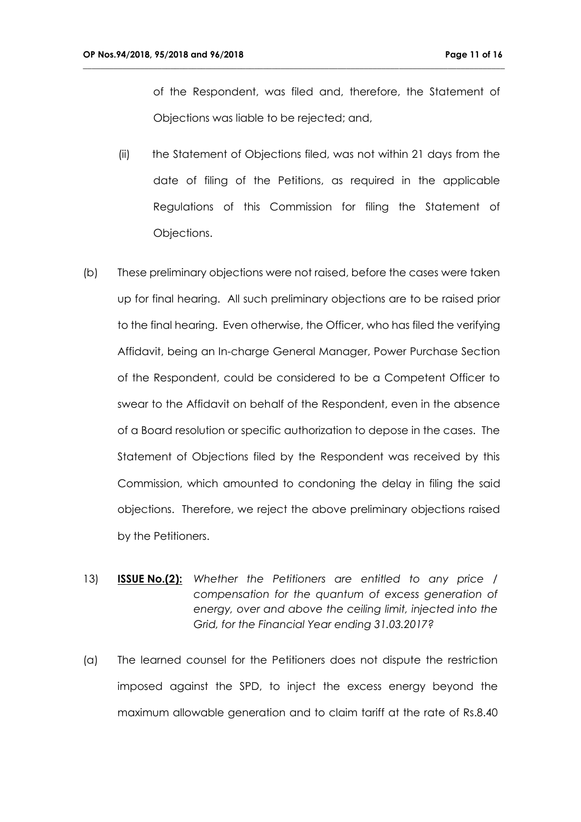of the Respondent, was filed and, therefore, the Statement of Objections was liable to be rejected; and,

(ii) the Statement of Objections filed, was not within 21 days from the date of filing of the Petitions, as required in the applicable Regulations of this Commission for filing the Statement of Objections.

- (b) These preliminary objections were not raised, before the cases were taken up for final hearing. All such preliminary objections are to be raised prior to the final hearing. Even otherwise, the Officer, who has filed the verifying Affidavit, being an In-charge General Manager, Power Purchase Section of the Respondent, could be considered to be a Competent Officer to swear to the Affidavit on behalf of the Respondent, even in the absence of a Board resolution or specific authorization to depose in the cases. The Statement of Objections filed by the Respondent was received by this Commission, which amounted to condoning the delay in filing the said objections. Therefore, we reject the above preliminary objections raised by the Petitioners.
- 13) **ISSUE No.(2):** *Whether the Petitioners are entitled to any price / compensation for the quantum of excess generation of energy, over and above the ceiling limit, injected into the Grid, for the Financial Year ending 31.03.2017?*
- (a) The learned counsel for the Petitioners does not dispute the restriction imposed against the SPD, to inject the excess energy beyond the maximum allowable generation and to claim tariff at the rate of Rs.8.40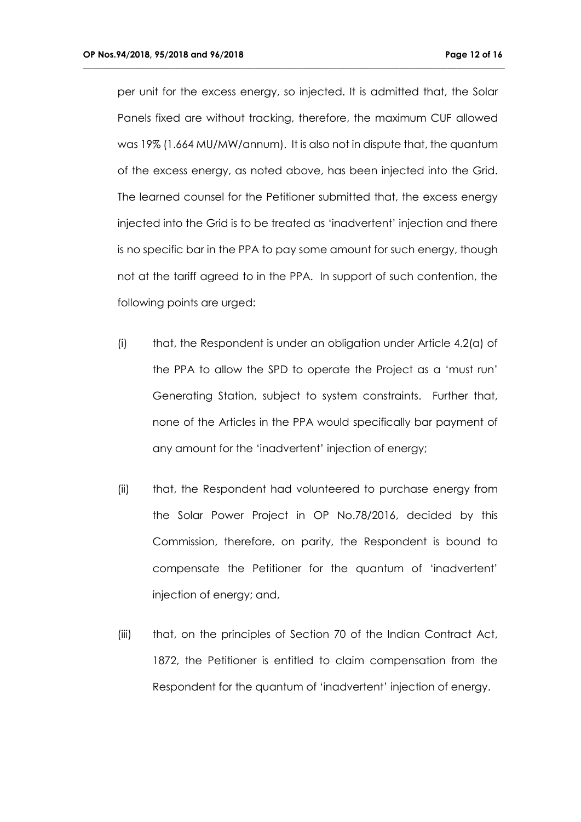per unit for the excess energy, so injected. It is admitted that, the Solar Panels fixed are without tracking, therefore, the maximum CUF allowed was 19% (1.664 MU/MW/annum). It is also not in dispute that, the quantum of the excess energy, as noted above, has been injected into the Grid. The learned counsel for the Petitioner submitted that, the excess energy injected into the Grid is to be treated as 'inadvertent' injection and there is no specific bar in the PPA to pay some amount for such energy, though not at the tariff agreed to in the PPA. In support of such contention, the following points are urged:

- (i) that, the Respondent is under an obligation under Article 4.2(a) of the PPA to allow the SPD to operate the Project as a 'must run' Generating Station, subject to system constraints. Further that, none of the Articles in the PPA would specifically bar payment of any amount for the 'inadvertent' injection of energy;
- (ii) that, the Respondent had volunteered to purchase energy from the Solar Power Project in OP No.78/2016, decided by this Commission, therefore, on parity, the Respondent is bound to compensate the Petitioner for the quantum of 'inadvertent' injection of energy; and,
- (iii) that, on the principles of Section 70 of the Indian Contract Act, 1872, the Petitioner is entitled to claim compensation from the Respondent for the quantum of 'inadvertent' injection of energy.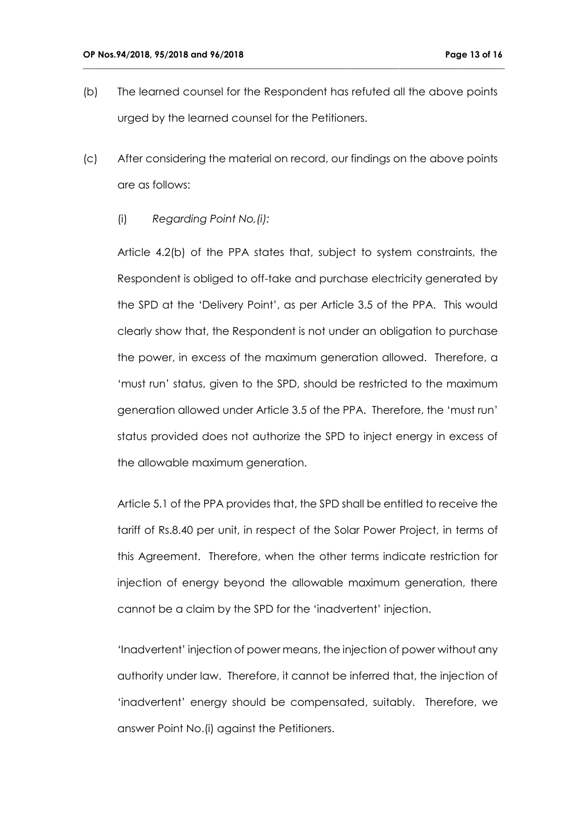(b) The learned counsel for the Respondent has refuted all the above points urged by the learned counsel for the Petitioners.

**\_\_\_\_\_\_\_\_\_\_\_\_\_\_\_\_\_\_\_\_\_\_\_\_\_\_\_\_\_\_\_\_\_\_\_\_\_\_\_\_\_\_\_\_\_\_\_\_\_\_\_\_\_\_\_\_\_\_\_\_\_\_\_\_\_\_\_\_\_\_\_\_\_\_\_\_\_\_\_\_\_\_\_\_\_\_\_\_\_\_\_\_\_\_\_\_**

- (c) After considering the material on record, our findings on the above points are as follows:
	- (i) *Regarding Point No,(i):*

Article 4.2(b) of the PPA states that, subject to system constraints, the Respondent is obliged to off-take and purchase electricity generated by the SPD at the 'Delivery Point', as per Article 3.5 of the PPA. This would clearly show that, the Respondent is not under an obligation to purchase the power, in excess of the maximum generation allowed. Therefore, a 'must run' status, given to the SPD, should be restricted to the maximum generation allowed under Article 3.5 of the PPA. Therefore, the 'must run' status provided does not authorize the SPD to inject energy in excess of the allowable maximum generation.

Article 5.1 of the PPA provides that, the SPD shall be entitled to receive the tariff of Rs.8.40 per unit, in respect of the Solar Power Project, in terms of this Agreement. Therefore, when the other terms indicate restriction for injection of energy beyond the allowable maximum generation, there cannot be a claim by the SPD for the 'inadvertent' injection.

'Inadvertent' injection of power means, the injection of power without any authority under law. Therefore, it cannot be inferred that, the injection of 'inadvertent' energy should be compensated, suitably. Therefore, we answer Point No.(i) against the Petitioners.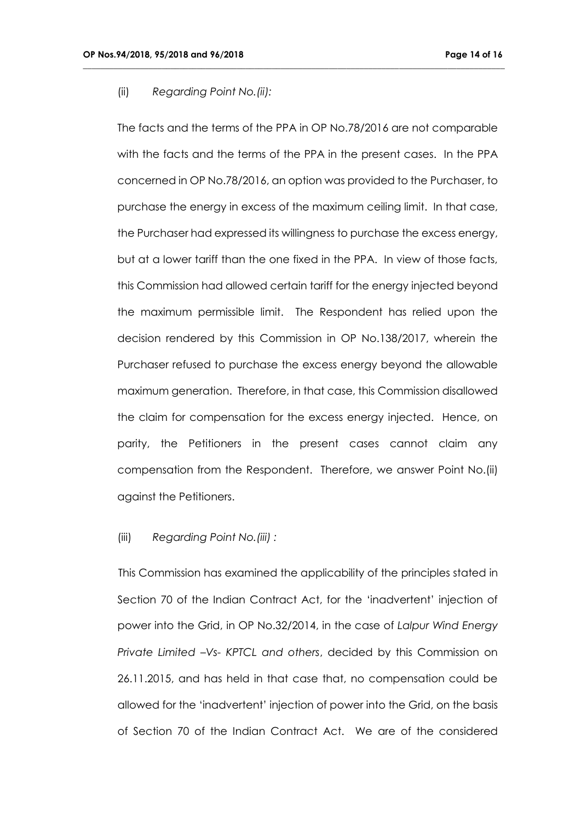#### (ii) *Regarding Point No.(ii):*

The facts and the terms of the PPA in OP No.78/2016 are not comparable with the facts and the terms of the PPA in the present cases. In the PPA concerned in OP No.78/2016, an option was provided to the Purchaser, to purchase the energy in excess of the maximum ceiling limit. In that case, the Purchaser had expressed its willingness to purchase the excess energy, but at a lower tariff than the one fixed in the PPA. In view of those facts, this Commission had allowed certain tariff for the energy injected beyond the maximum permissible limit. The Respondent has relied upon the decision rendered by this Commission in OP No.138/2017, wherein the Purchaser refused to purchase the excess energy beyond the allowable maximum generation. Therefore, in that case, this Commission disallowed the claim for compensation for the excess energy injected. Hence, on parity, the Petitioners in the present cases cannot claim any compensation from the Respondent. Therefore, we answer Point No.(ii) against the Petitioners.

**\_\_\_\_\_\_\_\_\_\_\_\_\_\_\_\_\_\_\_\_\_\_\_\_\_\_\_\_\_\_\_\_\_\_\_\_\_\_\_\_\_\_\_\_\_\_\_\_\_\_\_\_\_\_\_\_\_\_\_\_\_\_\_\_\_\_\_\_\_\_\_\_\_\_\_\_\_\_\_\_\_\_\_\_\_\_\_\_\_\_\_\_\_\_\_\_**

#### (iii) *Regarding Point No.(iii) :*

This Commission has examined the applicability of the principles stated in Section 70 of the Indian Contract Act, for the 'inadvertent' injection of power into the Grid, in OP No.32/2014, in the case of *Lalpur Wind Energy Private Limited –Vs- KPTCL and others*, decided by this Commission on 26.11.2015, and has held in that case that, no compensation could be allowed for the 'inadvertent' injection of power into the Grid, on the basis of Section 70 of the Indian Contract Act. We are of the considered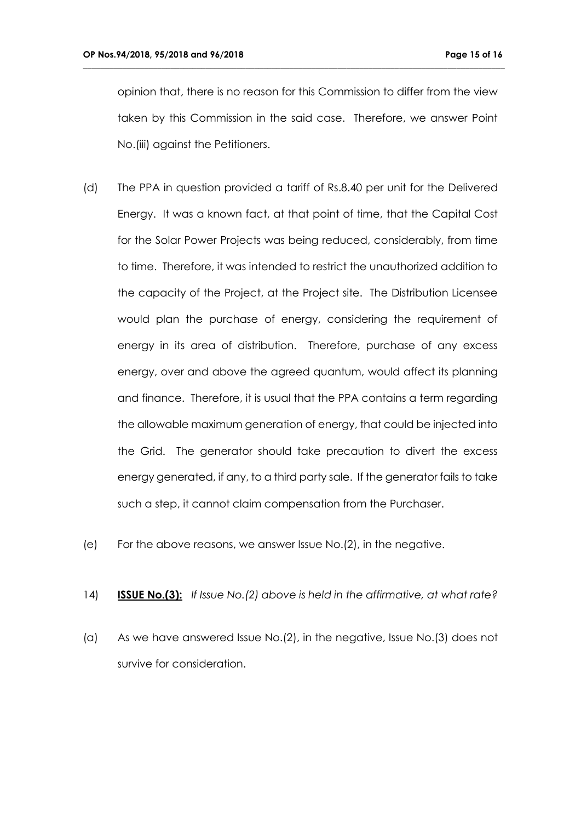opinion that, there is no reason for this Commission to differ from the view taken by this Commission in the said case. Therefore, we answer Point No.(iii) against the Petitioners.

- (d) The PPA in question provided a tariff of Rs.8.40 per unit for the Delivered Energy. It was a known fact, at that point of time, that the Capital Cost for the Solar Power Projects was being reduced, considerably, from time to time. Therefore, it was intended to restrict the unauthorized addition to the capacity of the Project, at the Project site. The Distribution Licensee would plan the purchase of energy, considering the requirement of energy in its area of distribution. Therefore, purchase of any excess energy, over and above the agreed quantum, would affect its planning and finance. Therefore, it is usual that the PPA contains a term regarding the allowable maximum generation of energy, that could be injected into the Grid. The generator should take precaution to divert the excess energy generated, if any, to a third party sale. If the generator fails to take such a step, it cannot claim compensation from the Purchaser.
- (e) For the above reasons, we answer Issue No.(2), in the negative.
- 14) **ISSUE No.(3):** *If Issue No.(2) above is held in the affirmative, at what rate?*
- (a) As we have answered Issue No.(2), in the negative, Issue No.(3) does not survive for consideration.